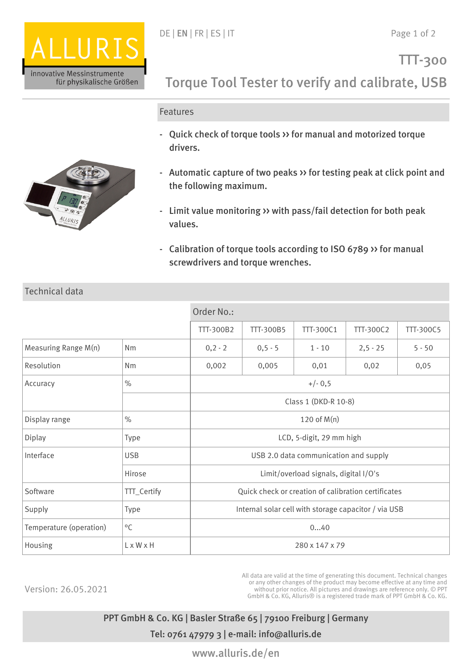

## Features

- Quick check of torque tools >> for manual and motorized torque drivers.
- Automatic capture of two peaks >> for testing peak at click point and the following maximum.
- Limit value monitoring >> with pass/fail detection for both peak values.
- Calibration of torque tools according to ISO 6789 >> for manual screwdrivers and torque wrenches.

| Technical dala          |                    |                                                      |                  |           |             |           |
|-------------------------|--------------------|------------------------------------------------------|------------------|-----------|-------------|-----------|
|                         |                    | Order No.:                                           |                  |           |             |           |
|                         |                    | <b>TTT-300B2</b>                                     | <b>TTT-300B5</b> | TTT-300C1 | TTT-300C2   | TTT-300C5 |
| Measuring Range M(n)    | Nm                 | $0, 2 - 2$                                           | $0, 5 - 5$       | $1 - 10$  | $2, 5 - 25$ | $5 - 50$  |
| Resolution              | Nm                 | 0,002                                                | 0,005            | 0,01      | 0,02        | 0,05      |
| Accuracy                | $\%$               | $+/- 0,5$                                            |                  |           |             |           |
|                         |                    | Class 1 (DKD-R 10-8)                                 |                  |           |             |           |
| Display range           | $\%$               | $120$ of $M(n)$                                      |                  |           |             |           |
| Diplay                  | Type               | LCD, 5-digit, 29 mm high                             |                  |           |             |           |
| Interface               | <b>USB</b>         | USB 2.0 data communication and supply                |                  |           |             |           |
|                         | Hirose             | Limit/overload signals, digital I/O's                |                  |           |             |           |
| Software                | <b>TTT_Certify</b> | Quick check or creation of calibration certificates  |                  |           |             |           |
| Supply                  | Type               | Internal solar cell with storage capacitor / via USB |                  |           |             |           |
| Temperature (operation) | $^{\circ}$ C       | 040                                                  |                  |           |             |           |
| Housing                 | L x W x H          | 280 x 147 x 79                                       |                  |           |             |           |

## Technical data

Version: 26.05.2021

All data are valid at the time of generating this document. Technical changes or any other changes of the product may become effective at any time and without prior notice. All pictures and drawings are reference only. © PPT GmbH & Co. KG, Alluris® is a registered trade mark of PPT GmbH & Co. KG.

PPT GmbH & Co. KG | Basler Straße 65 | 79100 Freiburg | Germany Tel: 0761 47979 3 | e-mail: info@alluris.de

www.alluris.de/en